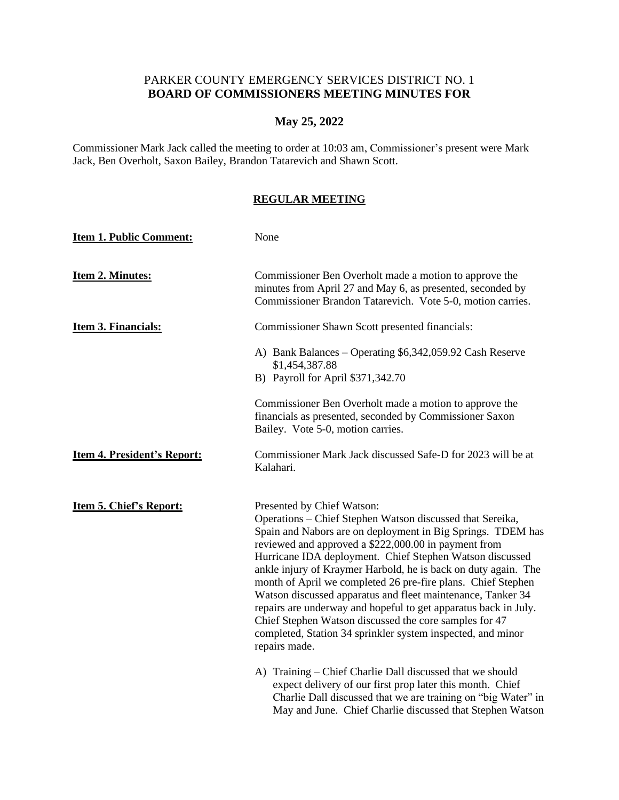## PARKER COUNTY EMERGENCY SERVICES DISTRICT NO. 1 **BOARD OF COMMISSIONERS MEETING MINUTES FOR**

## **May 25, 2022**

Commissioner Mark Jack called the meeting to order at 10:03 am, Commissioner's present were Mark Jack, Ben Overholt, Saxon Bailey, Brandon Tatarevich and Shawn Scott.

## **REGULAR MEETING**

| <b>Item 1. Public Comment:</b>     | None                                                                                                                                                                                                                                                                                                                                                                                                                                                                                                                                                                                                                                                                                     |
|------------------------------------|------------------------------------------------------------------------------------------------------------------------------------------------------------------------------------------------------------------------------------------------------------------------------------------------------------------------------------------------------------------------------------------------------------------------------------------------------------------------------------------------------------------------------------------------------------------------------------------------------------------------------------------------------------------------------------------|
| Item 2. Minutes:                   | Commissioner Ben Overholt made a motion to approve the<br>minutes from April 27 and May 6, as presented, seconded by<br>Commissioner Brandon Tatarevich. Vote 5-0, motion carries.                                                                                                                                                                                                                                                                                                                                                                                                                                                                                                       |
| Item 3. Financials:                | Commissioner Shawn Scott presented financials:                                                                                                                                                                                                                                                                                                                                                                                                                                                                                                                                                                                                                                           |
|                                    | A) Bank Balances – Operating \$6,342,059.92 Cash Reserve<br>\$1,454,387.88<br>B) Payroll for April \$371,342.70                                                                                                                                                                                                                                                                                                                                                                                                                                                                                                                                                                          |
|                                    | Commissioner Ben Overholt made a motion to approve the<br>financials as presented, seconded by Commissioner Saxon<br>Bailey. Vote 5-0, motion carries.                                                                                                                                                                                                                                                                                                                                                                                                                                                                                                                                   |
| <b>Item 4. President's Report:</b> | Commissioner Mark Jack discussed Safe-D for 2023 will be at<br>Kalahari.                                                                                                                                                                                                                                                                                                                                                                                                                                                                                                                                                                                                                 |
| <b>Item 5. Chief's Report:</b>     | Presented by Chief Watson:<br>Operations – Chief Stephen Watson discussed that Sereika,<br>Spain and Nabors are on deployment in Big Springs. TDEM has<br>reviewed and approved a \$222,000.00 in payment from<br>Hurricane IDA deployment. Chief Stephen Watson discussed<br>ankle injury of Kraymer Harbold, he is back on duty again. The<br>month of April we completed 26 pre-fire plans. Chief Stephen<br>Watson discussed apparatus and fleet maintenance, Tanker 34<br>repairs are underway and hopeful to get apparatus back in July.<br>Chief Stephen Watson discussed the core samples for 47<br>completed, Station 34 sprinkler system inspected, and minor<br>repairs made. |
|                                    | A) Training – Chief Charlie Dall discussed that we should<br>expect delivery of our first prop later this month. Chief<br>Charlie Dall discussed that we are training on "big Water" in<br>May and June. Chief Charlie discussed that Stephen Watson                                                                                                                                                                                                                                                                                                                                                                                                                                     |